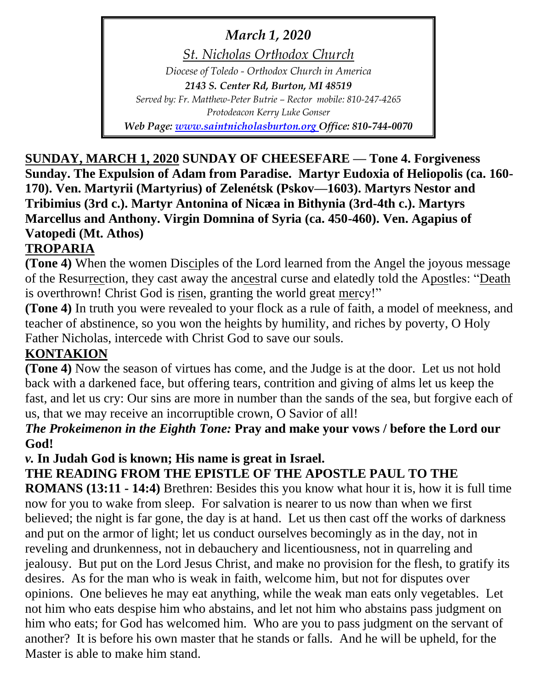*March 1, 2020*

*St. Nicholas Orthodox Church Diocese of Toledo - Orthodox Church in America 2143 S. Center Rd, Burton, MI 48519 Served by: Fr. Matthew-Peter Butrie – Rector mobile: 810-247-4265 Protodeacon Kerry Luke Gonser Web Page: [www.saintnicholasburton.org](http://www.saintnicholasburton.org/) Office: 810-744-0070*

**SUNDAY, MARCH 1, 2020 SUNDAY OF CHEESEFARE — Tone 4. Forgiveness Sunday. The Expulsion of Adam from Paradise. Martyr Eudoxia of Heliopolis (ca. 160- 170). Ven. Martyrii (Martyrius) of Zelenétsk (Pskov—1603). Martyrs Nestor and Tribimius (3rd c.). Martyr Antonina of Nicæa in Bithynia (3rd-4th c.). Martyrs Marcellus and Anthony. Virgin Domnina of Syria (ca. 450-460). Ven. Agapius of Vatopedi (Mt. Athos)**

*e-mail: [stnicholasburtonmi@gmail.com](mailto:stnicholasburtonmi@gmail.com)*

# **TROPARIA**

**(Tone 4)** When the women Disciples of the Lord learned from the Angel the joyous message of the Resurrection, they cast away the ancestral curse and elatedly told the Apostles: "Death is overthrown! Christ God is risen, granting the world great mercy!"

**(Tone 4)** In truth you were revealed to your flock as a rule of faith, a model of meekness, and teacher of abstinence, so you won the heights by humility, and riches by poverty, O Holy Father Nicholas, intercede with Christ God to save our souls.

# **KONTAKION**

**(Tone 4)** Now the season of virtues has come, and the Judge is at the door. Let us not hold back with a darkened face, but offering tears, contrition and giving of alms let us keep the fast, and let us cry: Our sins are more in number than the sands of the sea, but forgive each of us, that we may receive an incorruptible crown, O Savior of all!

# *The Prokeimenon in the Eighth Tone:* **Pray and make your vows / before the Lord our God!**

*v.* **In Judah God is known; His name is great in Israel.**

# **THE READING FROM THE EPISTLE OF THE APOSTLE PAUL TO THE**

**ROMANS (13:11 - 14:4)** Brethren: Besides this you know what hour it is, how it is full time now for you to wake from sleep. For salvation is nearer to us now than when we first believed; the night is far gone, the day is at hand. Let us then cast off the works of darkness and put on the armor of light; let us conduct ourselves becomingly as in the day, not in reveling and drunkenness, not in debauchery and licentiousness, not in quarreling and jealousy. But put on the Lord Jesus Christ, and make no provision for the flesh, to gratify its desires. As for the man who is weak in faith, welcome him, but not for disputes over opinions. One believes he may eat anything, while the weak man eats only vegetables. Let not him who eats despise him who abstains, and let not him who abstains pass judgment on him who eats; for God has welcomed him. Who are you to pass judgment on the servant of another? It is before his own master that he stands or falls. And he will be upheld, for the Master is able to make him stand.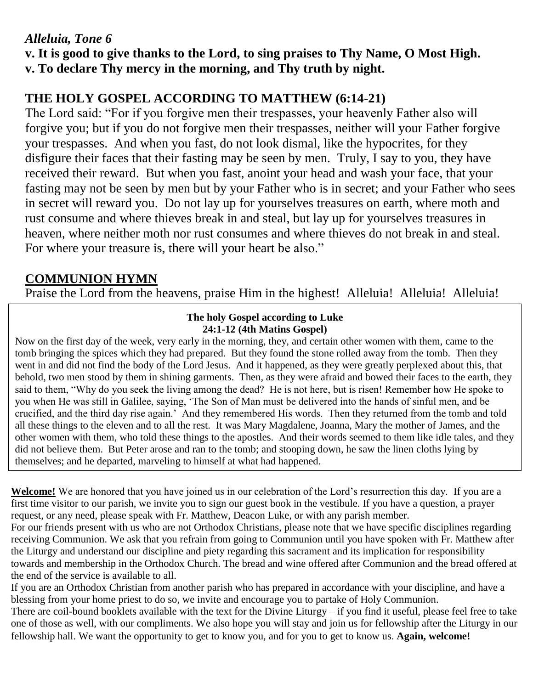### *Alleluia, Tone 6*

**v. It is good to give thanks to the Lord, to sing praises to Thy Name, O Most High.**

**v. To declare Thy mercy in the morning, and Thy truth by night.**

# **THE HOLY GOSPEL ACCORDING TO MATTHEW (6:14-21)**

The Lord said: "For if you forgive men their trespasses, your heavenly Father also will forgive you; but if you do not forgive men their trespasses, neither will your Father forgive your trespasses. And when you fast, do not look dismal, like the hypocrites, for they disfigure their faces that their fasting may be seen by men. Truly, I say to you, they have received their reward. But when you fast, anoint your head and wash your face, that your fasting may not be seen by men but by your Father who is in secret; and your Father who sees in secret will reward you. Do not lay up for yourselves treasures on earth, where moth and rust consume and where thieves break in and steal, but lay up for yourselves treasures in heaven, where neither moth nor rust consumes and where thieves do not break in and steal. For where your treasure is, there will your heart be also."

# **COMMUNION HYMN**

Praise the Lord from the heavens, praise Him in the highest! Alleluia! Alleluia! Alleluia!

#### **The holy Gospel according to Luke 24:1-12 (4th Matins Gospel)**

Now on the first day of the week, very early in the morning, they, and certain other women with them, came to the tomb bringing the spices which they had prepared. But they found the stone rolled away from the tomb. Then they went in and did not find the body of the Lord Jesus. And it happened, as they were greatly perplexed about this, that behold, two men stood by them in shining garments. Then, as they were afraid and bowed their faces to the earth, they said to them, "Why do you seek the living among the dead? He is not here, but is risen! Remember how He spoke to you when He was still in Galilee, saying, 'The Son of Man must be delivered into the hands of sinful men, and be crucified, and the third day rise again.' And they remembered His words. Then they returned from the tomb and told all these things to the eleven and to all the rest. It was Mary Magdalene, Joanna, Mary the mother of James, and the other women with them, who told these things to the apostles. And their words seemed to them like idle tales, and they did not believe them. But Peter arose and ran to the tomb; and stooping down, he saw the linen cloths lying by themselves; and he departed, marveling to himself at what had happened.

**Welcome!** We are honored that you have joined us in our celebration of the Lord's resurrection this day. If you are a first time visitor to our parish, we invite you to sign our guest book in the vestibule. If you have a question, a prayer request, or any need, please speak with Fr. Matthew, Deacon Luke, or with any parish member.

For our friends present with us who are not Orthodox Christians, please note that we have specific disciplines regarding receiving Communion. We ask that you refrain from going to Communion until you have spoken with Fr. Matthew after the Liturgy and understand our discipline and piety regarding this sacrament and its implication for responsibility towards and membership in the Orthodox Church. The bread and wine offered after Communion and the bread offered at the end of the service is available to all.

If you are an Orthodox Christian from another parish who has prepared in accordance with your discipline, and have a blessing from your home priest to do so, we invite and encourage you to partake of Holy Communion.

There are coil-bound booklets available with the text for the Divine Liturgy – if you find it useful, please feel free to take one of those as well, with our compliments. We also hope you will stay and join us for fellowship after the Liturgy in our fellowship hall. We want the opportunity to get to know you, and for you to get to know us. **Again, welcome!**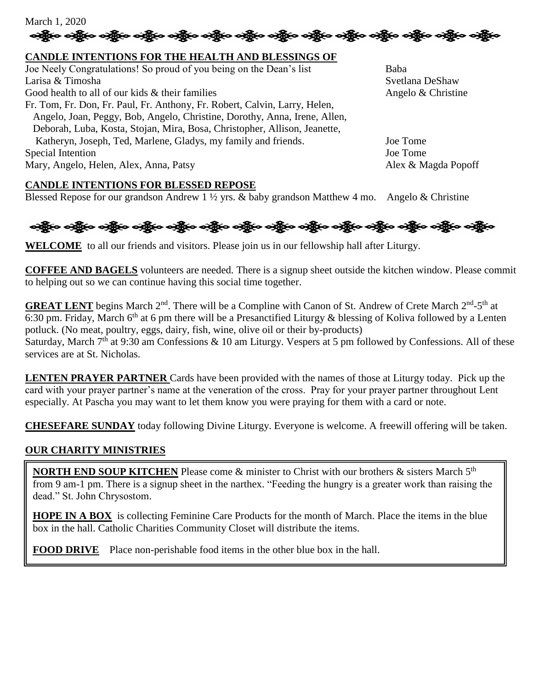

#### **CANDLE INTENTIONS FOR THE HEALTH AND BLESSINGS OF**

Joe Neely Congratulations! So proud of you being on the Dean's list Baba Larisa & Timosha Svetlana DeShaw Svetlana DeShaw Svetlana DeShaw Good health to all of our kids  $\&$  their families  $\&$  Angelo  $\&$  Christine Fr. Tom, Fr. Don, Fr. Paul, Fr. Anthony, Fr. Robert, Calvin, Larry, Helen, Angelo, Joan, Peggy, Bob, Angelo, Christine, Dorothy, Anna, Irene, Allen, Deborah, Luba, Kosta, Stojan, Mira, Bosa, Christopher, Allison, Jeanette, Katheryn, Joseph, Ted, Marlene, Gladys, my family and friends. Joe Tome Special Intention Joe Tome Mary, Angelo, Helen, Alex, Anna, Patsy Alex & Magda Popoff

#### **CANDLE INTENTIONS FOR BLESSED REPOSE**

Blessed Repose for our grandson Andrew 1  $\frac{1}{2}$  yrs. & baby grandson Matthew 4 mo. Angelo & Christine



**WELCOME** to all our friends and visitors. Please join us in our fellowship hall after Liturgy.

**COFFEE AND BAGELS** volunteers are needed. There is a signup sheet outside the kitchen window. Please commit to helping out so we can continue having this social time together.

**GREAT LENT** begins March 2<sup>nd</sup>. There will be a Compline with Canon of St. Andrew of Crete March 2<sup>nd</sup>-5<sup>th</sup> at 6:30 pm. Friday, March 6<sup>th</sup> at 6 pm there will be a Presanctified Liturgy & blessing of Koliva followed by a Lenten potluck. (No meat, poultry, eggs, dairy, fish, wine, olive oil or their by-products) Saturday, March  $7<sup>th</sup>$  at 9:30 am Confessions & 10 am Liturgy. Vespers at 5 pm followed by Confessions. All of these services are at St. Nicholas.

**LENTEN PRAYER PARTNER** Cards have been provided with the names of those at Liturgy today. Pick up the card with your prayer partner's name at the veneration of the cross. Pray for your prayer partner throughout Lent especially. At Pascha you may want to let them know you were praying for them with a card or note.

**CHESEFARE SUNDAY** today following Divine Liturgy. Everyone is welcome. A freewill offering will be taken.

#### **OUR CHARITY MINISTRIES**

I

**NORTH END SOUP KITCHEN** Please come & minister to Christ with our brothers & sisters March 5<sup>th</sup> from 9 am-1 pm. There is a signup sheet in the narthex. "Feeding the hungry is a greater work than raising the dead." St. John Chrysostom.

**HOPE IN A BOX** is collecting Feminine Care Products for the month of March. Place the items in the blue box in the hall. Catholic Charities Community Closet will distribute the items.

**FOOD DRIVE** Place non-perishable food items in the other blue box in the hall.